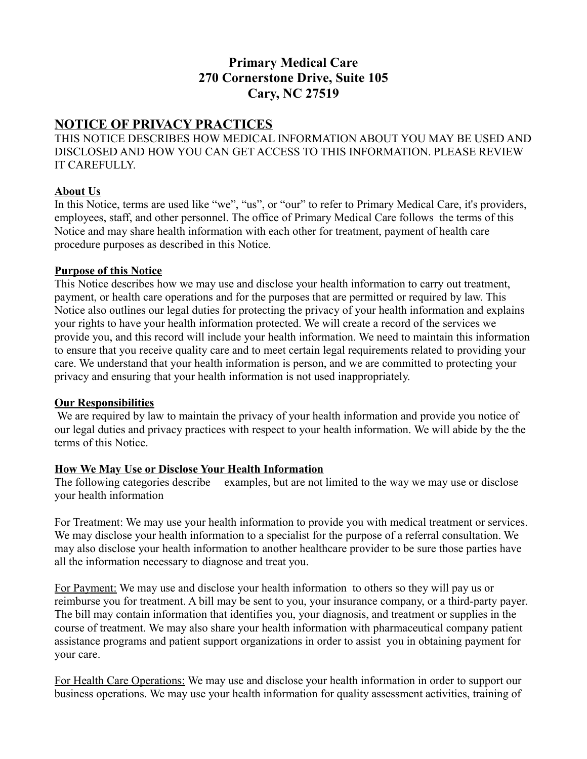# **Primary Medical Care 270 Cornerstone Drive, Suite 105 Cary, NC 27519**

## **NOTICE OF PRIVACY PRACTICES**

THIS NOTICE DESCRIBES HOW MEDICAL INFORMATION ABOUT YOU MAY BE USED AND DISCLOSED AND HOW YOU CAN GET ACCESS TO THIS INFORMATION. PLEASE REVIEW IT CAREFULLY.

### **About Us**

In this Notice, terms are used like "we", "us", or "our" to refer to Primary Medical Care, it's providers, employees, staff, and other personnel. The office of Primary Medical Care follows the terms of this Notice and may share health information with each other for treatment, payment of health care procedure purposes as described in this Notice.

#### **Purpose of this Notice**

This Notice describes how we may use and disclose your health information to carry out treatment, payment, or health care operations and for the purposes that are permitted or required by law. This Notice also outlines our legal duties for protecting the privacy of your health information and explains your rights to have your health information protected. We will create a record of the services we provide you, and this record will include your health information. We need to maintain this information to ensure that you receive quality care and to meet certain legal requirements related to providing your care. We understand that your health information is person, and we are committed to protecting your privacy and ensuring that your health information is not used inappropriately.

### **Our Responsibilities**

We are required by law to maintain the privacy of your health information and provide you notice of our legal duties and privacy practices with respect to your health information. We will abide by the the terms of this Notice.

### **How We May Use or Disclose Your Health Information**

The following categories describe examples, but are not limited to the way we may use or disclose your health information

For Treatment: We may use your health information to provide you with medical treatment or services. We may disclose your health information to a specialist for the purpose of a referral consultation. We may also disclose your health information to another healthcare provider to be sure those parties have all the information necessary to diagnose and treat you.

For Payment: We may use and disclose your health information to others so they will pay us or reimburse you for treatment. A bill may be sent to you, your insurance company, or a third-party payer. The bill may contain information that identifies you, your diagnosis, and treatment or supplies in the course of treatment. We may also share your health information with pharmaceutical company patient assistance programs and patient support organizations in order to assist you in obtaining payment for your care.

For Health Care Operations: We may use and disclose your health information in order to support our business operations. We may use your health information for quality assessment activities, training of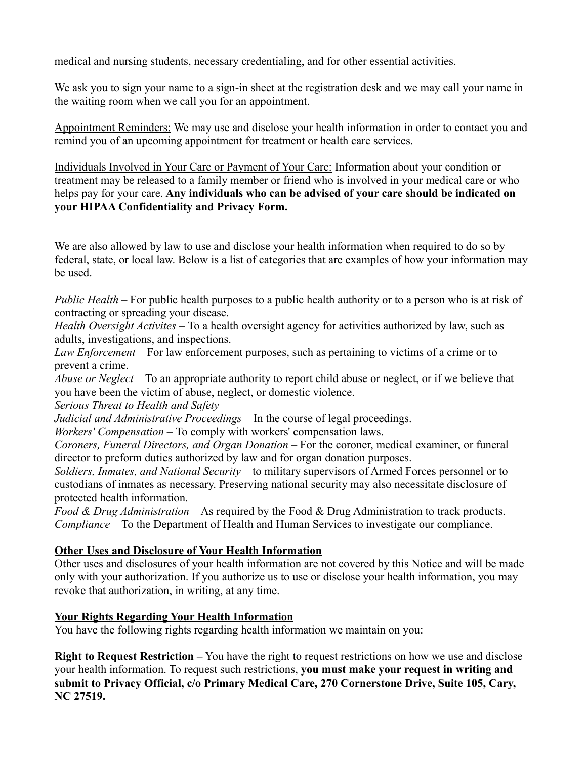medical and nursing students, necessary credentialing, and for other essential activities.

We ask you to sign your name to a sign-in sheet at the registration desk and we may call your name in the waiting room when we call you for an appointment.

Appointment Reminders: We may use and disclose your health information in order to contact you and remind you of an upcoming appointment for treatment or health care services.

Individuals Involved in Your Care or Payment of Your Care: Information about your condition or treatment may be released to a family member or friend who is involved in your medical care or who helps pay for your care. **Any individuals who can be advised of your care should be indicated on your HIPAA Confidentiality and Privacy Form.**

We are also allowed by law to use and disclose your health information when required to do so by federal, state, or local law. Below is a list of categories that are examples of how your information may be used.

*Public Health –* For public health purposes to a public health authority or to a person who is at risk of contracting or spreading your disease.

*Health Oversight Activites –* To a health oversight agency for activities authorized by law, such as adults, investigations, and inspections.

*Law Enforcement –* For law enforcement purposes, such as pertaining to victims of a crime or to prevent a crime.

*Abuse or Neglect –* To an appropriate authority to report child abuse or neglect, or if we believe that you have been the victim of abuse, neglect, or domestic violence.

*Serious Threat to Health and Safety*

*Judicial and Administrative Proceedings –* In the course of legal proceedings.

*Workers' Compensation –* To comply with workers' compensation laws.

*Coroners, Funeral Directors, and Organ Donation –* For the coroner, medical examiner, or funeral director to preform duties authorized by law and for organ donation purposes.

*Soldiers, Inmates, and National Security –* to military supervisors of Armed Forces personnel or to custodians of inmates as necessary. Preserving national security may also necessitate disclosure of protected health information.

*Food & Drug Administration –* As required by the Food & Drug Administration to track products. *Compliance –* To the Department of Health and Human Services to investigate our compliance.

### **Other Uses and Disclosure of Your Health Information**

Other uses and disclosures of your health information are not covered by this Notice and will be made only with your authorization. If you authorize us to use or disclose your health information, you may revoke that authorization, in writing, at any time.

### **Your Rights Regarding Your Health Information**

You have the following rights regarding health information we maintain on you:

**Right to Request Restriction –** You have the right to request restrictions on how we use and disclose your health information. To request such restrictions, **you must make your request in writing and submit to Privacy Official, c/o Primary Medical Care, 270 Cornerstone Drive, Suite 105, Cary, NC 27519.**